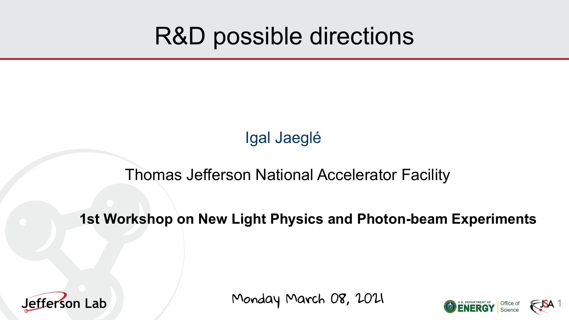# R&D possible directions

Igal Jaeglé

## Thomas Jefferson National Accelerator Facility

## **1st Workshop on New Light Physics and Photon-beam Experiments**



Monday March 08, 2021

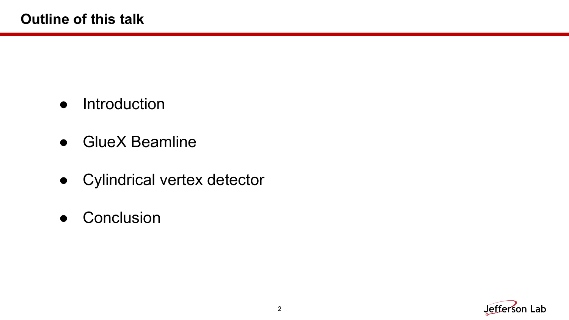- Introduction
- GlueX Beamline
- Cylindrical vertex detector
- Conclusion

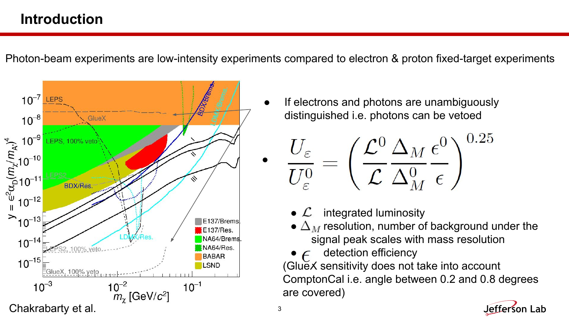## **Introduction**

Photon-beam experiments are low-intensity experiments compared to electron & proton fixed-target experiments



If electrons and photons are unambiguously distinguished i.e. photons can be vetoed

$$
\frac{U_{\varepsilon}}{U_{\varepsilon}^0}=\left(\frac{{\cal L}^0}{{\cal L}}\frac{\Delta_M}{\Delta_M^0}\frac{\epsilon^0}{\epsilon}\right)^{0.25}
$$

- $\mathcal{L}$  integrated luminosity
- $\bullet$   $\Delta_M$  resolution, number of background under the signal peak scales with mass resolution
- $\bullet$   $\epsilon$  detection efficiency

(GlueX sensitivity does not take into account ComptonCal i.e. angle between 0.2 and 0.8 degrees are covered)

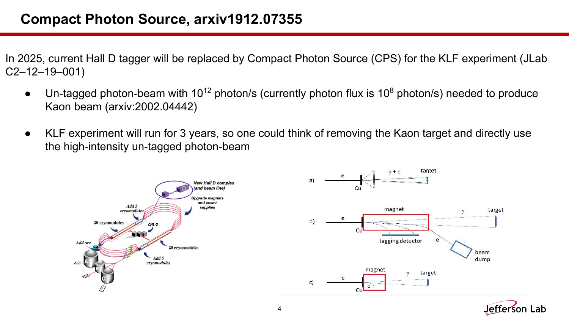## **Compact Photon Source, arxiv1912.07355**

In 2025, current Hall D tagger will be replaced by Compact Photon Source (CPS) for the KLF experiment (JLab C2–12–19–001)

- Un-tagged photon-beam with  $10^{12}$  photon/s (currently photon flux is  $10^8$  photon/s) needed to produce Kaon beam (arxiv:2002.04442)
- KLF experiment will run for 3 years, so one could think of removing the Kaon target and directly use the high-intensity un-tagged photon-beam



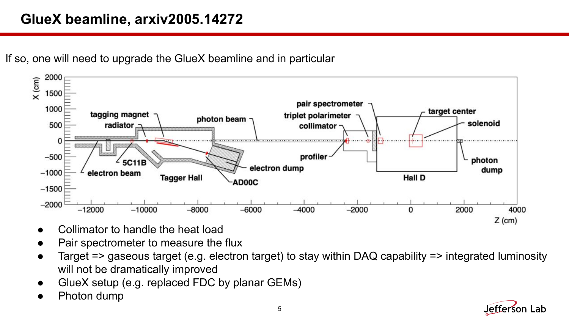## **GlueX beamline, arxiv2005.14272**





- Collimator to handle the heat load
- Pair spectrometer to measure the flux
- Target => gaseous target (e.g. electron target) to stay within DAQ capability => integrated luminosity will not be dramatically improved
- GlueX setup (e.g. replaced FDC by planar GEMs)
- Photon dump

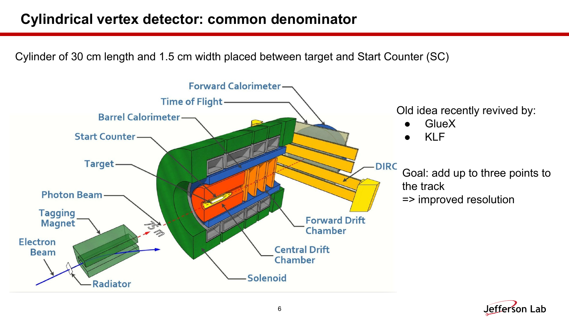## **Cylindrical vertex detector: common denominator**

Cylinder of 30 cm length and 1.5 cm width placed between target and Start Counter (SC)



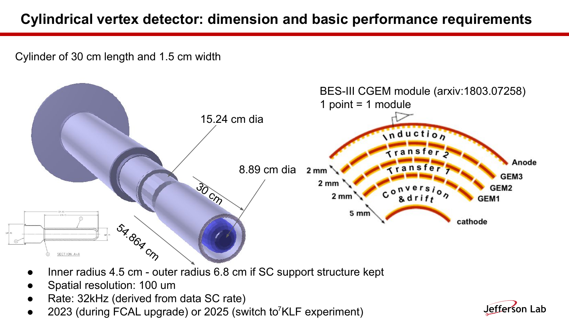## **Cylindrical vertex detector: dimension and basic performance requirements**

Cylinder of 30 cm length and 1.5 cm width



- Inner radius 4.5 cm outer radius 6.8 cm if SC support structure kept
- Spatial resolution: 100 um
- Rate: 32kHz (derived from data SC rate)
- 2023 (during FCAL upgrade) or 2025 (switch to<sup>7</sup>KLF experiment)

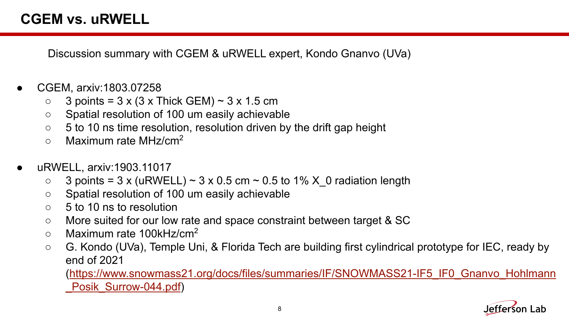Discussion summary with CGEM & uRWELL expert, Kondo Gnanvo (UVa)

- CGEM, arxiv:1803.07258
	- $\circ$  3 points = 3 x (3 x Thick GEM)  $\sim$  3 x 1.5 cm
	- Spatial resolution of 100 um easily achievable
	- $\circ$  5 to 10 ns time resolution, resolution driven by the drift gap height
	- $\circ$  Maximum rate MHz/cm<sup>2</sup>
- uRWELL, arxiv:1903.11017
	- $\circ$  3 points = 3 x (uRWELL)  $\sim$  3 x 0.5 cm  $\sim$  0.5 to 1% X 0 radiation length
	- Spatial resolution of 100 um easily achievable
	- 5 to 10 ns to resolution
	- More suited for our low rate and space constraint between target & SC
	- $\circ$  Maximum rate 100kHz/cm<sup>2</sup>
	- G. Kondo (UVa), Temple Uni, & Florida Tech are building first cylindrical prototype for IEC, ready by end of 2021

([https://www.snowmass21.org/docs/files/summaries/IF/SNOWMASS21-IF5\\_IF0\\_Gnanvo\\_Hohlmann](https://www.snowmass21.org/docs/files/summaries/IF/SNOWMASS21-IF5_IF0_Gnanvo_Hohlmann_Posik_Surrow-044.pdf) Posik Surrow-044.pdf)

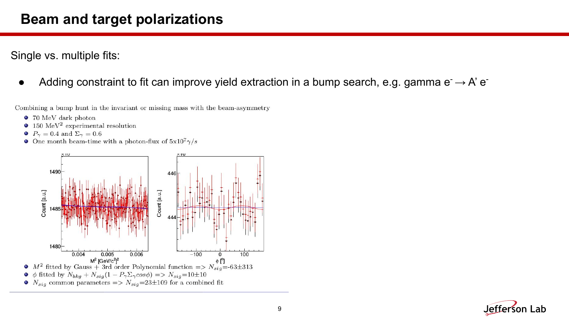### **Beam and target polarizations**

Single vs. multiple fits:

Adding constraint to fit can improve yield extraction in a bump search, e.g. gamma  $e^- \rightarrow A' e^-$ 

Combining a bump hunt in the invariant or missing mass with the beam-asymmetry

- $\bullet$  70 MeV dark photon
- 150  $\text{MeV}^2$  experimental resolution
- $P_{\gamma} = 0.4$  and  $\Sigma_{\gamma} = 0.6$
- One month beam-time with a photon-flux of  $5x10^7\gamma/s$